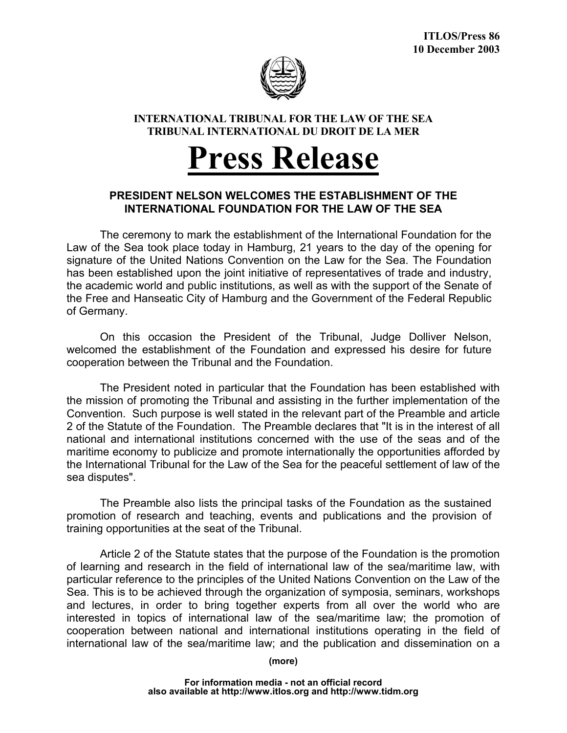

## **INTERNATIONAL TRIBUNAL FOR THE LAW OF THE SEA TRIBUNAL INTERNATIONAL DU DROIT DE LA MER**

## **Press Release**

## **PRESIDENT NELSON WELCOMES THE ESTABLISHMENT OF THE INTERNATIONAL FOUNDATION FOR THE LAW OF THE SEA**

The ceremony to mark the establishment of the International Foundation for the Law of the Sea took place today in Hamburg, 21 years to the day of the opening for signature of the United Nations Convention on the Law for the Sea. The Foundation has been established upon the joint initiative of representatives of trade and industry, the academic world and public institutions, as well as with the support of the Senate of the Free and Hanseatic City of Hamburg and the Government of the Federal Republic of Germany.

On this occasion the President of the Tribunal, Judge Dolliver Nelson, welcomed the establishment of the Foundation and expressed his desire for future cooperation between the Tribunal and the Foundation.

The President noted in particular that the Foundation has been established with the mission of promoting the Tribunal and assisting in the further implementation of the Convention. Such purpose is well stated in the relevant part of the Preamble and article 2 of the Statute of the Foundation. The Preamble declares that "It is in the interest of all national and international institutions concerned with the use of the seas and of the maritime economy to publicize and promote internationally the opportunities afforded by the International Tribunal for the Law of the Sea for the peaceful settlement of law of the sea disputes".

The Preamble also lists the principal tasks of the Foundation as the sustained promotion of research and teaching, events and publications and the provision of training opportunities at the seat of the Tribunal.

Article 2 of the Statute states that the purpose of the Foundation is the promotion of learning and research in the field of international law of the sea/maritime law, with particular reference to the principles of the United Nations Convention on the Law of the Sea. This is to be achieved through the organization of symposia, seminars, workshops and lectures, in order to bring together experts from all over the world who are interested in topics of international law of the sea/maritime law; the promotion of cooperation between national and international institutions operating in the field of international law of the sea/maritime law; and the publication and dissemination on a

**(more)**